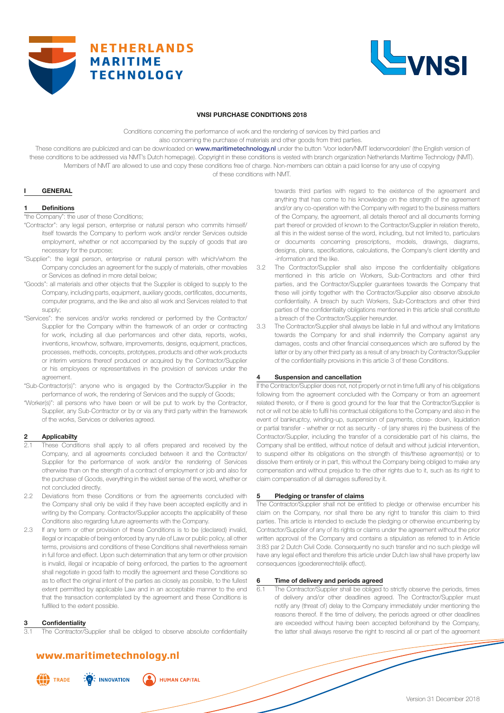



#### **VNSI PURCHASE CONDITIONS 2018**

Conditions concerning the performance of work and the rendering of services by third parties and also concerning the purchase of materials and other goods from third parties.

These conditions are publicized and can be downloaded on www.maritimetechnology.nl under the button 'Voor leden/NMT ledenvoordelen' (the English version of these conditions to be addressed via NMT's Dutch homepage). Copyright in these conditions is vested with branch organization Netherlands Maritime Technology (NMT). Members of NMT are allowed to use and copy these conditions free of charge. Non-members can obtain a paid license for any use of copying of these conditions with NMT.

### **I GENERAL**

#### **1 Definitions**

"the Company": the user of these Conditions;

- "Contractor": any legal person, enterprise or natural person who commits himself/ itself towards the Company to perform work and/or render Services outside employment, whether or not accompanied by the supply of goods that are necessary for the purpose;
- "Supplier": the legal person, enterprise or natural person with which/whom the Company concludes an agreement for the supply of materials, other movables or Services as defined in more detail below;
- "Goods": all materials and other objects that the Supplier is obliged to supply to the Company, including parts, equipment, auxiliary goods, certificates, documents, computer programs, and the like and also all work and Services related to that supply;
- "Services": the services and/or works rendered or performed by the Contractor/ Supplier for the Company within the framework of an order or contracting for work, including all due performances and other data, reports, works, inventions, knowhow, software, improvements, designs, equipment, practices, processes, methods, concepts, prototypes, products and other work products or interim versions thereof produced or acquired by the Contractor/Supplier or his employees or representatives in the provision of services under the agreement.
- "Sub-Contractor(s)": anyone who is engaged by the Contractor/Supplier in the performance of work, the rendering of Services and the supply of Goods;
- "Worker(s)": all persons who have been or will be put to work by the Contractor, Supplier, any Sub-Contractor or by or via any third party within the framework of the works, Services or deliveries agreed.

#### **Applicabilty**

- These Conditions shall apply to all offers prepared and received by the Company, and all agreements concluded between it and the Contractor/ Supplier for the performance of work and/or the rendering of Services otherwise than on the strength of a contract of employment or job and also for the purchase of Goods, everything in the widest sense of the word, whether or not concluded directly.
- 2.2 Deviations from these Conditions or from the agreements concluded with the Company shall only be valid if they have been accepted explicitly and in writing by the Company. Contractor/Supplier accepts the applicability of these Conditions also regarding future agreements with the Company.
- 2.3 If any term or other provision of these Conditions is to be (declared) invalid, illegal or incapable of being enforced by any rule of Law or public policy, all other terms, provisions and conditions of these Conditions shall nevertheless remain in full force and effect. Upon such determination that any term or other provision is invalid, illegal or incapable of being enforced, the parties to the agreement shall negotiate in good faith to modify the agreement and these Conditions so as to effect the original intent of the parties as closely as possible, to the fullest extent permitted by applicable Law and in an acceptable manner to the end that the transaction contemplated by the agreement and these Conditions is fulfilled to the extent possible.

#### **3 Confidentiality**

The Contractor/Supplier shall be obliged to observe absolute confidentiality

# **www.maritimetechnology.nl**

**ALL** TRADE

 $\frac{1}{2}$  INNOVATION **HUMAN CAPITAL** 

towards third parties with regard to the existence of the agreement and anything that has come to his knowledge on the strength of the agreement and/or any co-operation with the Company with regard to the business matters of the Company, the agreement, all details thereof and all documents forming part thereof or provided of known to the Contractor/Supplier in relation thereto, all this in the widest sense of the word, including, but not limited to, particulars or documents concerning prescriptions, models, drawings, diagrams, designs, plans, specifications, calculations, the Company's client identity and -information and the like.

- 3.2 The Contractor/Supplier shall also impose the confidentiality obligations mentioned in this article on Workers, Sub-Contractors and other third parties, and the Contractor/Supplier guarantees towards the Company that these will jointly together with the Contractor/Supplier also observe absolute confidentiality. A breach by such Workers, Sub-Contractors and other third parties of the confidentiality obligations mentioned in this article shall constitute a breach of the Contractor/Supplier hereunder.
- 3.3 The Contractor/Supplier shall always be liable in full and without any limitations towards the Company for and shall indemnify the Company against any damages, costs and other financial consequences which are suffered by the latter or by any other third party as a result of any breach by Contractor/Supplier of the confidentiality provisions in this article 3 of these Conditions.

#### **4 Suspension and cancellation**

If the Contractor/Supplier does not, not properly or not in time fulfil any of his obligations following from the agreement concluded with the Company or from an agreement related thereto, or if there is good ground for the fear that the Contractor/Supplier is not or will not be able to fulfil his contractual obligations to the Company and also in the event of bankruptcy, winding-up, suspension of payments, close- down, liquidation or partial transfer - whether or not as security - of (any shares in) the business of the Contractor/Supplier, including the transfer of a considerable part of his claims, the Company shall be entitled, without notice of default and without judicial intervention, to suspend either its obligations on the strength of this/these agreement(s) or to dissolve them entirely or in part, this without the Company being obliged to make any compensation and without prejudice to the other rights due to it, such as its right to claim compensation of all damages suffered by it.

### **5 Pledging or transfer of claims**

The Contractor/Supplier shall not be entitled to pledge or otherwise encumber his claim on the Company, nor shall there be any right to transfer this claim to third parties. This article is intended to exclude the pledging or otherwise encumbering by Contractor/Supplier of any of its rights or claims under the agreement without the prior written approval of the Company and contains a stipulation as referred to in Article 3:83 par 2 Dutch Civil Code. Consequently no such transfer and no such pledge will have any legal effect and therefore this article under Dutch law shall have property law consequences (goederenrechtelijk effect).

#### **6 Time of delivery and periods agreed**

6.1 The Contractor/Supplier shall be obliged to strictly observe the periods, times of delivery and/or other deadlines agreed. The Contractor/Supplier must notify any (threat of) delay to the Company immediately under mentioning the reasons thereof. If the time of delivery, the periods agreed or other deadlines are exceeded without having been accepted beforehand by the Company, the latter shall always reserve the right to rescind all or part of the agreement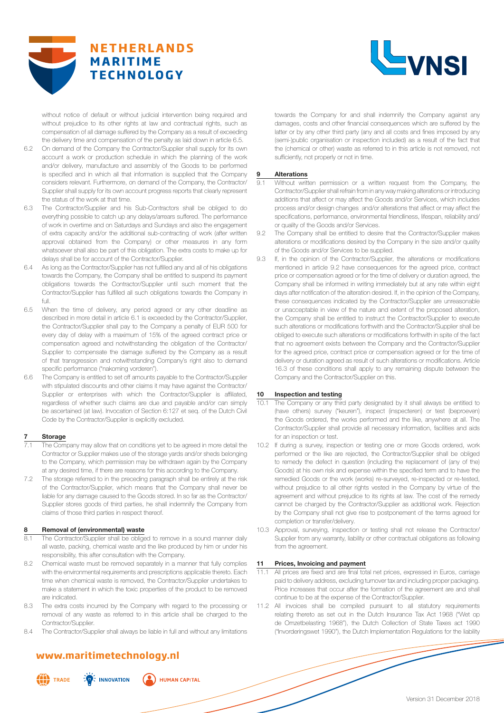



without notice of default or without judicial intervention being required and without prejudice to its other rights at law and contractual rights, such as compensation of all damage suffered by the Company as a result of exceeding the delivery time and compensation of the penalty as laid down in article 6.5.

- 6.2 On demand of the Company the Contractor/Supplier shall supply for its own account a work or production schedule in which the planning of the work and/or delivery, manufacture and assembly of the Goods to be performed is specified and in which all that information is supplied that the Company considers relevant. Furthermore, on demand of the Company, the Contractor/ Supplier shall supply for its own account progress reports that clearly represent the status of the work at that time.
- 6.3 The Contractor/Supplier and his Sub-Contractors shall be obliged to do everything possible to catch up any delays/arrears suffered. The performance of work in overtime and on Saturdays and Sundays and also the engagement of extra capacity and/or the additional sub-contracting of work (after written approval obtained from the Company) or other measures in any form whatsoever shall also be part of this obligation. The extra costs to make up for delays shall be for account of the Contractor/Supplier.
- 6.4 As long as the Contractor/Supplier has not fulfilled any and all of his obligations towards the Company, the Company shall be entitled to suspend its payment obligations towards the Contractor/Supplier until such moment that the Contractor/Supplier has fulfilled all such obligations towards the Company in full.
- 6.5 When the time of delivery, any period agreed or any other deadline as described in more detail in article 6.1 is exceeded by the Contractor/Supplier, the Contractor/Supplier shall pay to the Company a penalty of EUR 500 for every day of delay with a maximum of 15% of the agreed contract price or compensation agreed and notwithstanding the obligation of the Contractor/ Supplier to compensate the damage suffered by the Company as a result of that transgression and notwithstanding Company's right also to demand specific performance ("nakoming vorderen").
- 6.6 The Company is entitled to set off amounts payable to the Contractor/Supplier with stipulated discounts and other claims it may have against the Contractor/ Supplier or enterprises with which the Contractor/Supplier is affiliated, regardless of whether such claims are due and payable and/or can simply be ascertained (at law). Invocation of Section 6:127 et seq. of the Dutch Civil Code by the Contractor/Supplier is explicitly excluded.

#### **Storage**

- The Company may allow that on conditions yet to be agreed in more detail the Contractor or Supplier makes use of the storage yards and/or sheds belonging to the Company, which permission may be withdrawn again by the Company at any desired time, if there are reasons for this according to the Company.
- 7.2 The storage referred to in the preceding paragraph shall be entirely at the risk of the Contractor/Supplier, which means that the Company shall never be liable for any damage caused to the Goods stored. In so far as the Contractor/ Supplier stores goods of third parties, he shall indemnify the Company from claims of those third parties in respect thereof.

#### **8 Removal of (environmental) waste**

- The Contractor/Supplier shall be obliged to remove in a sound manner daily all waste, packing, chemical waste and the like produced by him or under his responsibility, this after consultation with the Company.
- 8.2 Chemical waste must be removed separately in a manner that fully complies with the environmental requirements and prescriptions applicable thereto. Each time when chemical waste is removed, the Contractor/Supplier undertakes to make a statement in which the toxic properties of the product to be removed are indicated.
- 8.3 The extra costs incurred by the Company with regard to the processing or removal of any waste as referred to in this article shall be charged to the Contractor/Supplier.
- 8.4 The Contractor/Supplier shall always be liable in full and without any limitations

# **www.maritimetechnology.nl**

 $\frac{1}{2}$  INNOVATION

**ALL** TRADE

**HUMAN CAPITAL** 

towards the Company for and shall indemnify the Company against any damages, costs and other financial consequences which are suffered by the latter or by any other third party (any and all costs and fines imposed by any (semi-)public organisation or inspection included) as a result of the fact that the (chemical or other) waste as referred to in this article is not removed, not sufficiently, not properly or not in time.

#### **9 Alterations**

- 9.1 Without written permission or a written request from the Company, the Contractor/Supplier shall refrain from in any way making alterations or introducing additions that affect or may affect the Goods and/or Services, which includes process and/or design changes and/or alterations that affect or may affect the specifications, performance, environmental friendliness, lifespan, reliability and/ or quality of the Goods and/or Services.
- 9.2 The Company shall be entitled to desire that the Contractor/Supplier makes alterations or modifications desired by the Company in the size and/or quality of the Goods and/or Services to be supplied.
- 9.3 If, in the opinion of the Contractor/Supplier, the alterations or modifications mentioned in article 9.2 have consequences for the agreed price, contract price or compensation agreed or for the time of delivery or duration agreed, the Company shall be informed in writing immediately but at any rate within eight days after notification of the alteration desired. If, in the opinion of the Company, these consequences indicated by the Contractor/Supplier are unreasonable or unacceptable in view of the nature and extent of the proposed alteration, the Company shall be entitled to instruct the Contractor/Supplier to execute such alterations or modifications forthwith and the Contractor/Supplier shall be obliged to execute such alterations or modifications forthwith in spite of the fact that no agreement exists between the Company and the Contractor/Supplier for the agreed price, contract price or compensation agreed or for the time of delivery or duration agreed as result of such alterations or modifications. Article 16.3 of these conditions shall apply to any remaining dispute between the Company and the Contractor/Supplier on this.

#### **10 Inspection and testing**

- 10.1 The Company or any third party designated by it shall always be entitled to (have others) survey ("keuren"), inspect (inspecteren) or test (beproeven) the Goods ordered, the works performed and the like, anywhere at all. The Contractor/Supplier shall provide all necessary information, facilities and aids for an inspection or test.
- 10.2 If during a survey, inspection or testing one or more Goods ordered, work performed or the like are rejected, the Contractor/Supplier shall be obliged to remedy the defect in question (including the replacement of (any of the) Goods) at his own risk and expense within the specified term and to have the remedied Goods or the work (works) re-surveyed, re-inspected or re-tested, without prejudice to all other rights vested in the Company by virtue of the agreement and without prejudice to its rights at law. The cost of the remedy cannot be charged by the Contractor/Supplier as additional work. Rejection by the Company shall not give rise to postponement of the terms agreed for completion or transfer/delivery.
- 10.3 Approval, surveying, inspection or testing shall not release the Contractor/ Supplier from any warranty, liability or other contractual obligations as following from the agreement.

### **11 Prices, Invoicing and payment**

- All prices are fixed and are final total net prices, expressed in Euros, carriage paid to delivery address, excluding turnover tax and including proper packaging. Price increases that occur after the formation of the agreement are and shall continue to be at the expense of the Contractor/Supplier.
- 11.2 All invoices shall be compiled pursuant to all statutory requirements relating thereto as set out in the Dutch Insurance Tax Act 1968 ("Wet op de Omzetbelasting 1968"), the Dutch Collection of State Taxes act 1990 ("Invorderingswet 1990"), the Dutch Implementation Regulations for the liability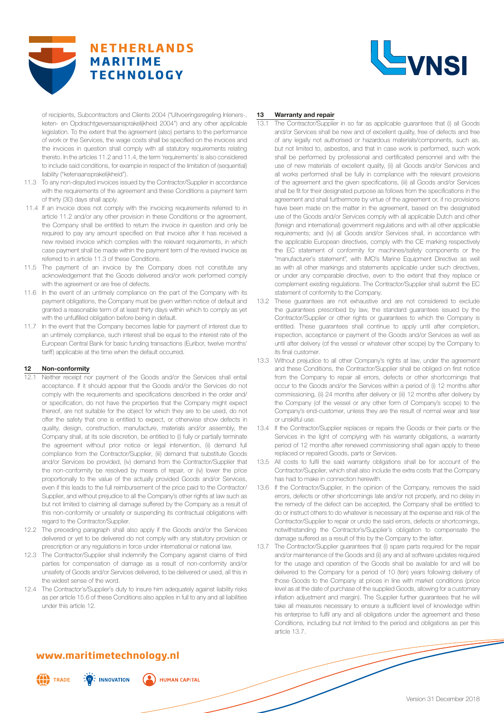



of recipients, Subcontractors and Clients 2004 ("Uitvoeringsregeling Inleners-, keten- en Opdrachtgeversaansprakelijkheid 2004") and any other applicable legislation. To the extent that the agreement (also) pertains to the performance of work or the Services, the wage costs shall be specified on the invoices and the invoices in question shall comply with all statutory requirements relating thereto. In the articles 11.2 and 11.4, the term 'requirements' is also considered to include said conditions, for example in respect of the limitation of (sequential) liability ("ketenaansprakelijkheid").

- 11.3 To any non-disputed invoices issued by the Contractor/Supplier in accordance with the requirements of the agreement and these Conditions a payment term of thirty (30) days shall apply.
- 11.4 If an invoice does not comply with the invoicing requirements referred to in article 11.2 and/or any other provision in these Conditions or the agreement, the Company shall be entitled to return the invoice in question and only be required to pay any amount specified on that invoice after it has received a new revised invoice which complies with the relevant requirements, in which case payment shall be made within the payment term of the revised invoice as referred to in article 11.3 of these Conditions.
- 11.5 The payment of an invoice by the Company does not constitute any acknowledgement that the Goods delivered and/or work performed comply with the agreement or are free of defects.
- 11.6 In the event of an untimely compliance on the part of the Company with its payment obligations, the Company must be given written notice of default and granted a reasonable term of at least thirty days within which to comply as yet with the unfulfilled obligation before being in default.
- 11.7 In the event that the Company becomes liable for payment of interest due to an untimely compliance, such interest shall be equal to the interest rate of the European Central Bank for basic funding transactions (Euribor, twelve months' tariff) applicable at the time when the default occurred.

#### **12 Non-conformity**

- Neither receipt nor payment of the Goods and/or the Services shall entail acceptance. If it should appear that the Goods and/or the Services do not comply with the requirements and specifications described in the order and/ or specification, do not have the properties that the Company might expect thereof, are not suitable for the object for which they are to be used, do not offer the safety that one is entitled to expect, or otherwise show defects in quality, design, construction, manufacture, materials and/or assembly, the Company shall, at its sole discretion, be entitled to (i) fully or partially terminate the agreement without prior notice or legal intervention, (ii) demand full compliance from the Contractor/Supplier, (iii) demand that substitute Goods and/or Services be provided, (iv) demand from the Contractor/Supplier that the non-conformity be resolved by means of repair, or (iv) lower the price proportionally to the value of the actually provided Goods and/or Services, even if this leads to the full reimbursement of the price paid to the Contractor/ Supplier, and without prejudice to all the Company's other rights at law such as but not limited to claiming all damage suffered by the Company as a result of this non-conformity or unsafety or suspending its contractual obligations with regard to the Contractor/Supplier.
- 12.2 The preceding paragraph shall also apply if the Goods and/or the Services delivered or yet to be delivered do not comply with any statutory provision or prescription or any regulations in force under international or national law.
- 12.3 The Contractor/Supplier shall indemnify the Company against claims of third parties for compensation of damage as a result of non-conformity and/or unsafety of Goods and/or Services delivered, to be delivered or used, all this in the widest sense of the word.
- 12.4 The Contractor's/Supplier's duty to insure him adequately against liability risks as per article 15.6 of these Conditions also applies in full to any and all liabilities under this article 12.

#### **13 Warranty and repair**

- 13.1 The Contractor/Supplier in so far as applicable guarantees that (i) all Goods and/or Services shall be new and of excellent quality, free of defects and free of any legally not authorised or hazardous materials/components, such as, but not limited to, asbestos, and that in case work is performed, such work shall be performed by professional and certificated personnel and with the use of new materials of excellent quality, (ii) all Goods and/or Services and all works performed shall be fully in compliance with the relevant provisions of the agreement and the given specifications, (iii) all Goods and/or Services shall be fit for their designated purpose as follows from the specifications in the agreement and shall furthermore by virtue of the agreement or, if no provisions have been made on the matter in the agreement, based on the designated use of the Goods and/or Services comply with all applicable Dutch and other (foreign and international) government regulations and with all other applicable requirements; and (iv) all Goods and/or Services shall, in accordance with the applicable European directives, comply with the CE marking respectively the EC statement of conformity for machines/safety components or the "manufacturer's statement", with IMO's Marine Equipment Directive as well as with all other markings and statements applicable under such directives, or under any comparable directive, even to the extent that they replace or complement existing regulations. The Contractor/Supplier shall submit the EC statement of conformity to the Company.
- 13.2 These guarantees are not exhaustive and are not considered to exclude the guarantees prescribed by law, the standard guarantees issued by the Contractor/Supplier or other rights or guarantees to which the Company is entitled. These guarantees shall continue to apply until after completion, inspection, acceptance or payment of the Goods and/or Services as well as until after delivery (of the vessel or whatever other scope) by the Company to its final customer.
- 13.3 Without prejudice to all other Company's rights at law, under the agreement and these Conditions, the Contractor/Supplier shall be obliged on first notice from the Company to repair all errors, defects or other shortcomings that occur to the Goods and/or the Services within a period of (i) 12 months after commissioning, (ii) 24 months after delivery or (iii) 12 months after delivery by the Company (of the vessel or any other form of Company's scope) to the Company's end-customer, unless they are the result of normal wear and tear or unskilful use.
- 13.4 If the Contractor/Supplier replaces or repairs the Goods or their parts or the Services in the light of complying with his warranty obligations, a warranty period of 12 months after renewed commissioning shall again apply to these replaced or repaired Goods, parts or Services.
- 13.5 All costs to fulfil the said warranty obligations shall be for account of the Contractor/Supplier, which shall also include the extra costs that the Company has had to make in connection herewith.
- 13.6 If the Contractor/Supplier, in the opinion of the Company, removes the said errors, defects or other shortcomings late and/or not properly, and no delay in the remedy of the defect can be accepted, the Company shall be entitled to do or instruct others to do whatever is necessary at the expense and risk of the Contractor/Supplier to repair or undo the said errors, defects or shortcomings, notwithstanding the Contractor's/Supplier's obligation to compensate the damage suffered as a result of this by the Company to the latter.
- 13.7 The Contractor/Supplier guarantees that (i) spare parts required for the repair and/or maintenance of the Goods and (ii) any and all software updates required for the usage and operation of the Goods shall be available for and will be delivered to the Company for a period of 10 (ten) years following delivery of those Goods to the Company at prices in line with market conditions (price level as at the date of purchase of the supplied Goods, allowing for a customary inflation adjustment and margin). The Supplier further guarantees that he will take all measures necessary to ensure a sufficient level of knowledge within his enterprise to fulfil any and all obligations under the agreement and these Conditions, including but not limited to the period and obligations as per this article 13.7.

# **www.maritimetechnology.nl**

 $\frac{1}{2}$  INNOVATION

**ALL** TRADE

**HUMAN CAPITAL**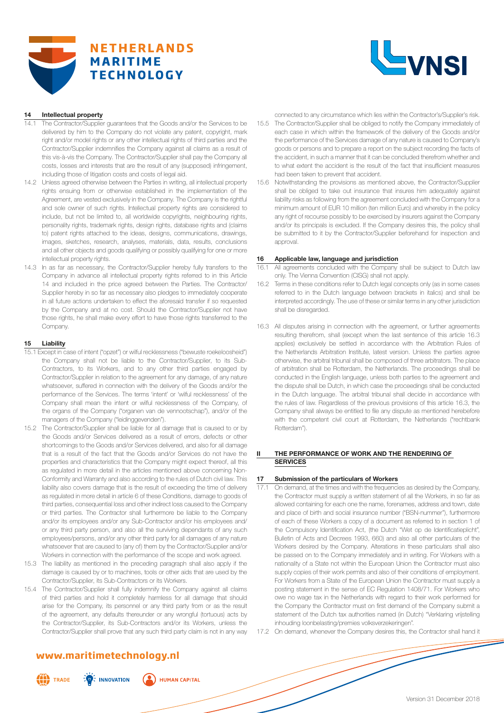



### **14 Intellectual property**

- 14.1 The Contractor/Supplier guarantees that the Goods and/or the Services to be delivered by him to the Company do not violate any patent, copyright, mark right and/or model rights or any other intellectual rights of third parties and the Contractor/Supplier indemnifies the Company against all claims as a result of this vis-à-vis the Company. The Contractor/Supplier shall pay the Company all costs, losses and interests that are the result of any (supposed) infringement, including those of litigation costs and costs of legal aid.
- 14.2 Unless agreed otherwise between the Parties in writing, all intellectual property rights ensuing from or otherwise established in the implementation of the Agreement, are vested exclusively in the Company. The Company is the rightful and sole owner of such rights. Intellectual property rights are considered to include, but not be limited to, all worldwide copyrights, neighbouring rights, personality rights, trademark rights, design rights, database rights and (claims to) patent rights attached to the ideas, designs, communications, drawings, images, sketches, research, analyses, materials, data, results, conclusions and all other objects and goods qualifying or possibly qualifying for one or more intellectual property rights.
- 14.3 In as far as necessary, the Contractor/Supplier hereby fully transfers to the Company in advance all intellectual property rights referred to in this Article 14 and included in the price agreed between the Parties. The Contractor/ Supplier hereby in so far as necessary also pledges to immediately cooperate in all future actions undertaken to effect the aforesaid transfer if so requested by the Company and at no cost. Should the Contractor/Supplier not have those rights, he shall make every effort to have those rights transferred to the Company.

#### **15 Liability**

- 15.1 Except in case of intent ("opzet") or wilful recklessness ("bewuste roekeloosheid") the Company shall not be liable to the Contractor/Supplier, to its Sub-Contractors, to its Workers, and to any other third parties engaged by Contractor/Supplier in relation to the agreement for any damage, of any nature whatsoever, suffered in connection with the delivery of the Goods and/or the performance of the Services. The terms 'intent' or 'wilful recklessness' of the Company shall mean the intent or wilful recklessness of the Company, of the organs of the Company ("organen van de vennootschap"), and/or of the managers of the Company ("leidinggevenden").
- 15.2 The Contractor/Supplier shall be liable for all damage that is caused to or by the Goods and/or Services delivered as a result of errors, defects or other shortcomings to the Goods and/or Services delivered, and also for all damage that is a result of the fact that the Goods and/or Services do not have the properties and characteristics that the Company might expect thereof, all this as regulated in more detail in the articles mentioned above concerning Non-Conformity and Warranty and also according to the rules of Dutch civil law. This liability also covers damage that is the result of exceeding the time of delivery as regulated in more detail in article 6 of these Conditions, damage to goods of third parties, consequential loss and other indirect loss caused to the Company or third parties. The Contractor shall furthermore be liable to the Company and/or its employees and/or any Sub-Contractor and/or his employees and/ or any third party person, and also all the surviving dependants of any such employees/persons, and/or any other third party for all damages of any nature whatsoever that are caused to (any of) them by the Contractor/Supplier and/or Workers in connection with the performance of the scope and work agreed.
- 15.3 The liability as mentioned in the preceding paragraph shall also apply if the damage is caused by or to machines, tools or other aids that are used by the Contractor/Supplier, its Sub-Contractors or its Workers.
- 15.4 The Contractor/Supplier shall fully indemnify the Company against all claims of third parties and hold it completely harmless for all damage that should arise for the Company, its personnel or any third party from or as the result of the agreement, any defaults thereunder or any wrongful (tortuous) acts by the Contractor/Supplier, its Sub-Contractors and/or its Workers, unless the Contractor/Supplier shall prove that any such third party claim is not in any way

connected to any circumstance which lies within the Contractor's/Supplier's risk.

- 15.5 The Contractor/Supplier shall be obliged to notify the Company immediately of each case in which within the framework of the delivery of the Goods and/or the performance of the Services damage of any nature is caused to Company's goods or persons and to prepare a report on the subject recording the facts of the accident, in such a manner that it can be concluded therefrom whether and to what extent the accident is the result of the fact that insufficient measures had been taken to prevent that accident.
- 15.6 Notwithstanding the provisions as mentioned above, the Contractor/Supplier shall be obliged to take out insurance that insures him adequately against liability risks as following from the agreement concluded with the Company for a minimum amount of EUR 10 million (ten million Euro) and whereby in the policy any right of recourse possibly to be exercised by insurers against the Company and/or its principals is excluded. If the Company desires this, the policy shall be submitted to it by the Contractor/Supplier beforehand for inspection and approval.

#### **16 Applicable law, language and jurisdiction**

- 16.1 All agreements concluded with the Company shall be subject to Dutch law only. The Vienna Convention (CISG) shall not apply.
- 16.2 Terms in these conditions refer to Dutch legal concepts only (as in some cases referred to in the Dutch language between brackets in italics) and shall be interpreted accordingly. The use of these or similar terms in any other jurisdiction shall be disregarded.
- 16.3 All disputes arising in connection with the agreement, or further agreements resulting therefrom, shall (except when the last sentence of this article 16.3 applies) exclusively be settled in accordance with the Arbitration Rules of the Netherlands Arbitration Institute, latest version. Unless the parties agree otherwise, the arbitral tribunal shall be composed of three arbitrators. The place of arbitration shall be Rotterdam, the Netherlands. The proceedings shall be conducted in the English language, unless both parties to the agreement and the dispute shall be Dutch, in which case the proceedings shall be conducted in the Dutch language. The arbitral tribunal shall decide in accordance with the rules of law. Regardless of the previous provisions of this article 16.3, the Company shall always be entitled to file any dispute as mentioned herebefore with the competent civil court at Rotterdam, the Netherlands ("rechtbank Rotterdam").

#### **ITHE PERFORMANCE OF WORK AND THE RENDERING OF SERVICES**

#### **17 Submission of the particulars of Workers**

- 17.1 On demand, at the times and with the frequencies as desired by the Company, the Contractor must supply a written statement of all the Workers, in so far as allowed containing for each one the name, forenames, address and town, date and place of birth and social insurance number ("BSN-nummer"), furthermore of each of these Workers a copy of a document as referred to in section 1 of the Compulsory Identification Act, (the Dutch "Wet op de Identificatieplicht", Bulletin of Acts and Decrees 1993, 660) and also all other particulars of the Workers desired by the Company. Alterations in these particulars shall also be passed on to the Company immediately and in writing. For Workers with a nationality of a State not within the European Union the Contractor must also supply copies of their work permits and also of their conditions of employment. For Workers from a State of the European Union the Contractor must supply a posting statement in the sense of EC Regulation 1408/71. For Workers who owe no wage tax in the Netherlands with regard to their work performed for the Company the Contractor must on first demand of the Company submit a statement of the Dutch tax authorities named (in Dutch) "Verklaring vrijstelling inhouding loonbelasting/premies volksverzekeringen".
- 17.2 On demand, whenever the Company desires this, the Contractor shall hand it

# **www.maritimetechnology.nl**

 $\frac{1}{2}$  INNOVATION

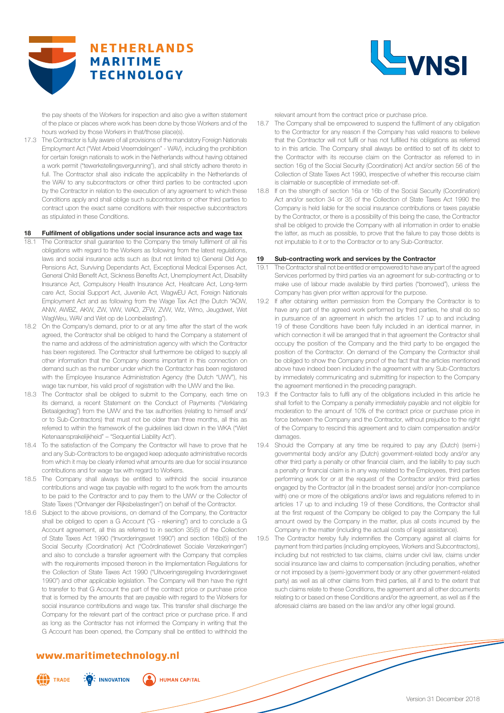



the pay sheets of the Workers for inspection and also give a written statement of the place or places where work has been done by those Workers and of the hours worked by those Workers in that/those place(s).

17.3 The Contractor is fully aware of all provisions of the mandatory Foreign Nationals Employment Act ("Wet Arbeid Vreemdelingen" - WAV), including the prohibition for certain foreign nationals to work in the Netherlands without having obtained a work permit ("tewerkstellingsvergunning"), and shall strictly adhere thereto in full. The Contractor shall also indicate the applicability in the Netherlands of the WAV to any subcontractors or other third parties to be contracted upon by the Contractor in relation to the execution of any agreement to which these Conditions apply and shall oblige such subcontractors or other third parties to contract upon the exact same conditions with their respective subcontractors as stipulated in these Conditions.

#### **18 Fulfilment of obligations under social insurance acts and wage tax**

- 18.1 The Contractor shall guarantee to the Company the timely fulfilment of all his obligations with regard to the Workers as following from the latest regulations, laws and social insurance acts such as (but not limited to) General Old Age Pensions Act, Surviving Dependants Act, Exceptional Medical Expenses Act, General Child Benefit Act, Sickness Benefits Act, Unemployment Act, Disability Insurance Act, Compulsory Health Insurance Act, Healtcare Act, Long-term care Act, Social Support Act, Juvenile Act, WagwEU Act, Foreign Nationals Employment Act and as following from the Wage Tax Act (the Dutch "AOW, ANW, AWBZ, AKW, ZW, WW, WAO, ZFW, ZVW, Wlz, Wmo, Jeugdwet, Wet WagWeu, WAV and Wet op de Loonbelasting").
- 18.2 On the Company's demand, prior to or at any time after the start of the work agreed, the Contractor shall be obliged to hand the Company a statement of the name and address of the administration agency with which the Contractor has been registered. The Contractor shall furthermore be obliged to supply all other information that the Company deems important in this connection on demand such as the number under which the Contractor has been registered with the Employee Insurance Administration Agency (the Dutch "UWV"), his wage tax number, his valid proof of registration with the UWV and the like.
- 18.3 The Contractor shall be obliged to submit to the Company, each time on its demand, a recent Statement on the Conduct of Payments ("Verklaring Betaalgedrag") from the UWV and the tax authorities (relating to himself and/ or to Sub-Contractors) that must not be older than three months, all this as referred to within the framework of the guidelines laid down in the WKA ("Wet Ketenaansprakelijkheid" – "Sequential Liability Act").
- 18.4 To the satisfaction of the Company the Contractor will have to prove that he and any Sub-Contractors to be engaged keep adequate administrative records from which it may be clearly inferred what amounts are due for social insurance contributions and for wage tax with regard to Workers.
- 18.5 The Company shall always be entitled to withhold the social insurance contributions and wage tax payable with regard to the work from the amounts to be paid to the Contractor and to pay them to the UWV or the Collector of State Taxes ("Ontvanger der Rijksbelastingen") on behalf of the Contractor.
- 18.6 Subject to the above provisions, on demand of the Company, the Contractor shall be obliged to open a G Account ("G - rekening") and to conclude a G Account agreement, all this as referred to in section 35(5) of the Collection of State Taxes Act 1990 ("Invorderingswet 1990") and section 16b(5) of the Social Security (Coordination) Act ("Coördinatiewet Sociale Verzekeringen") and also to conclude a transfer agreement with the Company that complies with the requirements imposed thereon in the Implementation Regulations for the Collection of State Taxes Act 1990 ("Uitvoeringsregeling Invorderingswet 1990") and other applicable legislation. The Company will then have the right to transfer to that G Account the part of the contract price or purchase price that is formed by the amounts that are payable with regard to the Workers for social insurance contributions and wage tax. This transfer shall discharge the Company for the relevant part of the contract price or purchase price. If and as long as the Contractor has not informed the Company in writing that the G Account has been opened, the Company shall be entitled to withhold the

# **www.maritimetechnology.nl**

 $\frac{1}{2}$  INNOVATION



**HUMAN CAPITAL** 

relevant amount from the contract price or purchase price.

- 18.7 The Company shall be empowered to suspend the fulfilment of any obligation to the Contractor for any reason if the Company has valid reasons to believe that the Contractor will not fulfil or has not fulfilled his obligations as referred to in this article. The Company shall always be entitled to set off its debt to the Contractor with its recourse claim on the Contractor as referred to in section 16g of the Social Security (Coordination) Act and/or section 56 of the Collection of State Taxes Act 1990, irrespective of whether this recourse claim is claimable or susceptible of immediate set-off.
- 18.8 If on the strength of section 16a or 16b of the Social Security (Coordination) Act and/or section 34 or 35 of the Collection of State Taxes Act 1990 the Company is held liable for the social insurance contributions or taxes payable by the Contractor, or there is a possibility of this being the case, the Contractor shall be obliged to provide the Company with all information in order to enable the latter, as much as possible, to prove that the failure to pay those debts is not imputable to it or to the Contractor or to any Sub-Contractor.

#### **19 Sub-contracting work and services by the Contractor**

- 19.1 The Contractor shall not be entitled or empowered to have any part of the agreed Services performed by third parties via an agreement for sub-contracting or to make use of labour made available by third parties ("borrowed"), unless the Company has given prior written approval for the purpose.
- 19.2 If after obtaining written permission from the Company the Contractor is to have any part of the agreed work performed by third parties, he shall do so in pursuance of an agreement in which the articles 17 up to and including 19 of these Conditions have been fully included in an identical manner, in which connection it will be arranged that in that agreement the Contractor shall occupy the position of the Company and the third party to be engaged the position of the Contractor. On demand of the Company the Contractor shall be obliged to show the Company proof of the fact that the articles mentioned above have indeed been included in the agreement with any Sub-Contractors by immediately communicating and submitting for inspection to the Company the agreement mentioned in the preceding paragraph.
- If the Contractor fails to fulfil any of the obligations included in this article he shall forfeit to the Company a penalty immediately payable and not eligible for moderation to the amount of 10% of the contract price or purchase price in force between the Company and the Contractor, without prejudice to the right of the Company to rescind this agreement and to claim compensation and/or damages.
- 19.4 Should the Company at any time be required to pay any (Dutch) (semi-) governmental body and/or any (Dutch) government-related body and/or any other third party a penalty or other financial claim, and the liability to pay such a penalty or financial claim is in any way related to the Employees, third parties performing work for or at the request of the Contractor and/or third parties engaged by the Contractor (all in the broadest sense) and/or (non-compliance with) one or more of the obligations and/or laws and regulations referred to in articles 17 up to and including 19 of these Conditions, the Contractor shall at the first request of the Company be obliged to pay the Company the full amount owed by the Company in the matter, plus all costs incurred by the Company in the matter (including the actual costs of legal assistance).
- 19.5 The Contractor hereby fully indemnifies the Company against all claims for payment from third parties (including employees, Workers and Subcontractors), including but not restricted to tax claims, claims under civil law, claims under social insurance law and claims to compensation (including penalties, whether or not imposed by a (semi-)government body or any other government-related party) as well as all other claims from third parties, all if and to the extent that such claims relate to these Conditions, the agreement and all other documents relating to or based on these Conditions and/or the agreement, as well as if the aforesaid claims are based on the law and/or any other legal ground.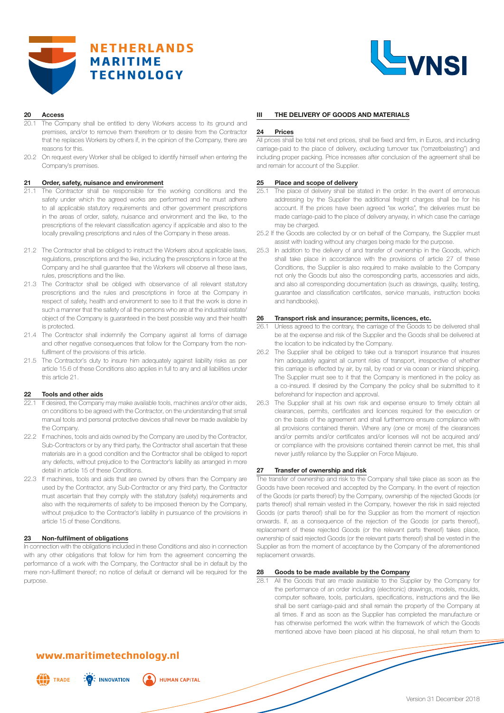



#### **20 Access**

- The Company shall be entitled to deny Workers access to its ground and premises, and/or to remove them therefrom or to desire from the Contractor that he replaces Workers by others if, in the opinion of the Company, there are reasons for this.
- 20.2 On request every Worker shall be obliged to identify himself when entering the Company's premises.

#### **21 Order, safety, nuisance and environment**

- 21.1 The Contractor shall be responsible for the working conditions and the safety under which the agreed works are performed and he must adhere to all applicable statutory requirements and other government prescriptions in the areas of order, safety, nuisance and environment and the like, to the prescriptions of the relevant classification agency if applicable and also to the locally prevailing prescriptions and rules of the Company in these areas.
- 21.2 The Contractor shall be obliged to instruct the Workers about applicable laws, regulations, prescriptions and the like, including the prescriptions in force at the Company and he shall guarantee that the Workers will observe all these laws, rules, prescriptions and the like.
- 21.3 The Contractor shall be obliged with observance of all relevant statutory prescriptions and the rules and prescriptions in force at the Company in respect of safety, health and environment to see to it that the work is done in such a manner that the safety of all the persons who are at the industrial estate/ object of the Company is guaranteed in the best possible way and their health is protected.
- 21.4 The Contractor shall indemnify the Company against all forms of damage and other negative consequences that follow for the Company from the nonfulfilment of the provisions of this article.
- 21.5 The Contractor's duty to insure him adequately against liability risks as per article 15.6 of these Conditions also applies in full to any and all liabilities under this article 21.

#### **22 Tools and other aids**

- If desired, the Company may make available tools, machines and/or other aids, on conditions to be agreed with the Contractor, on the understanding that small manual tools and personal protective devices shall never be made available by the Company.
- 22.2 If machines, tools and aids owned by the Company are used by the Contractor, Sub-Contractors or by any third party, the Contractor shall ascertain that these materials are in a good condition and the Contractor shall be obliged to report any defects, without prejudice to the Contractor's liability as arranged in more detail in article 15 of these Conditions.
- 22.3 If machines, tools and aids that are owned by others than the Company are used by the Contractor, any Sub-Contractor or any third party, the Contractor must ascertain that they comply with the statutory (safety) requirements and also with the requirements of safety to be imposed thereon by the Company, without prejudice to the Contractor's liability in pursuance of the provisions in article 15 of these Conditions.

#### **23 Non-fulfilment of obligations**

In connection with the obligations included in these Conditions and also in connection with any other obligations that follow for him from the agreement concerning the performance of a work with the Company, the Contractor shall be in default by the mere non-fulfilment thereof; no notice of default or demand will be required for the purpose.

#### **III THE DELIVERY OF GOODS AND MATERIALS**

#### **24 Prices**

All prices shall be total net end prices, shall be fixed and firm, in Euros, and including carriage-paid to the place of delivery, excluding turnover tax ("omzetbelasting") and including proper packing. Price increases after conclusion of the agreement shall be and remain for account of the Supplier.

#### **25 Place and scope of delivery**

- 25.1 The place of delivery shall be stated in the order. In the event of erroneous addressing by the Supplier the additional freight charges shall be for his account. If the prices have been agreed "ex works", the deliveries must be made carriage-paid to the place of delivery anyway, in which case the carriage may be charged.
- 25.2 If the Goods are collected by or on behalf of the Company, the Supplier must assist with loading without any charges being made for the purpose.
- 25.3 In addition to the delivery of and transfer of ownership in the Goods, which shall take place in accordance with the provisions of article 27 of these Conditions, the Supplier is also required to make available to the Company not only the Goods but also the corresponding parts, accessories and aids, and also all corresponding documentation (such as drawings, quality, testing, guarantee and classification certificates, service manuals, instruction books and handbooks).

#### **26 Transport risk and insurance; permits, licences, etc.**

- 26.1 Unless agreed to the contrary, the carriage of the Goods to be delivered shall be at the expense and risk of the Supplier and the Goods shall be delivered at the location to be indicated by the Company.
- 26.2 The Supplier shall be obliged to take out a transport insurance that insures him adequately against all current risks of transport, irrespective of whether this carriage is effected by air, by rail, by road or via ocean or inland shipping. The Supplier must see to it that the Company is mentioned in the policy as a co-insured. If desired by the Company the policy shall be submitted to it beforehand for inspection and approval.
- 26.3 The Supplier shall at his own risk and expense ensure to timely obtain all clearances, permits, certificates and licences required for the execution or on the basis of the agreement and shall furthermore ensure compliance with all provisions contained therein. Where any (one or more) of the clearances and/or permits and/or certificates and/or licenses will not be acquired and/ or compliance with the provisions contained therein cannot be met, this shall never justify reliance by the Supplier on Force Majeure.

#### **27 Transfer of ownership and risk**

The transfer of ownership and risk to the Company shall take place as soon as the Goods have been received and accepted by the Company. In the event of rejection of the Goods (or parts thereof) by the Company, ownership of the rejected Goods (or parts thereof) shall remain vested in the Company, however the risk in said rejected Goods (or parts thereof) shall be for the Supplier as from the moment of rejection onwards. If, as a consequence of the rejection of the Goods (or parts thereof), replacement of these rejected Goods (or the relevant parts thereof) takes place, ownership of said rejected Goods (or the relevant parts thereof) shall be vested in the Supplier as from the moment of acceptance by the Company of the aforementioned replacement onwards.

# **28 Goods to be made available by the Company**<br>28.1 All the Goods that are made available to the Sup

All the Goods that are made available to the Supplier by the Company for the performance of an order including (electronic) drawings, models, moulds, computer software, tools, particulars, specifications, instructions and the like shall be sent carriage-paid and shall remain the property of the Company at all times. If and as soon as the Supplier has completed the manufacture or has otherwise performed the work within the framework of which the Goods mentioned above have been placed at his disposal, he shall return them to

## **www.maritimetechnology.nl**